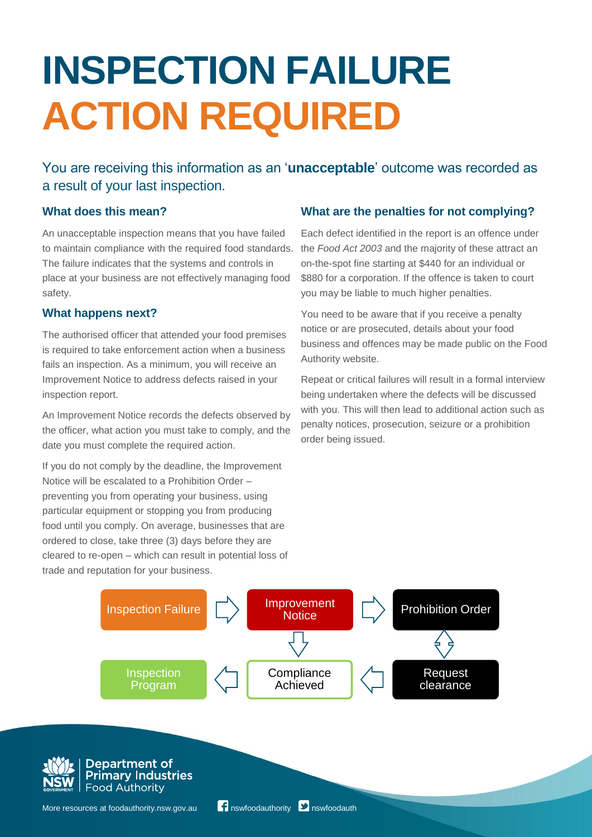# **INSPECTION FAILURE ACTION REQUIRED**

You are receiving this information as an '**unacceptable**' outcome was recorded as a result of your last inspection.

## **What does this mean?**

An unacceptable inspection means that you have failed to maintain compliance with the required food standards. The failure indicates that the systems and controls in place at your business are not effectively managing food safety.

## **What happens next?**

The authorised officer that attended your food premises is required to take enforcement action when a business fails an inspection. As a minimum, you will receive an Improvement Notice to address defects raised in your inspection report.

An Improvement Notice records the defects observed by the officer, what action you must take to comply, and the date you must complete the required action.

If you do not comply by the deadline, the Improvement Notice will be escalated to a Prohibition Order – preventing you from operating your business, using particular equipment or stopping you from producing food until you comply. On average, businesses that are ordered to close, take three (3) days before they are cleared to re-open – which can result in potential loss of trade and reputation for your business.

# **What are the penalties for not complying?**

Each defect identified in the report is an offence under the *Food Act 2003* and the majority of these attract an on-the-spot fine starting at \$440 for an individual or \$880 for a corporation. If the offence is taken to court you may be liable to much higher penalties.

You need to be aware that if you receive a penalty notice or are prosecuted, details about your food business and offences may be made public on the Food Authority website.

Repeat or critical failures will result in a formal interview being undertaken where the defects will be discussed with you. This will then lead to additional action such as penalty notices, prosecution, seizure or a prohibition order being issued.